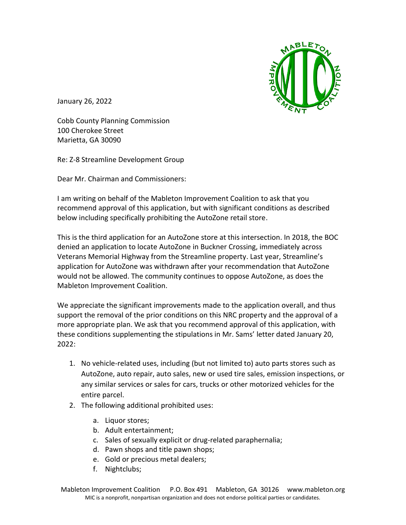

January 26, 2022

Cobb County Planning Commission 100 Cherokee Street Marietta, GA 30090

Re: Z-8 Streamline Development Group

Dear Mr. Chairman and Commissioners:

I am writing on behalf of the Mableton Improvement Coalition to ask that you recommend approval of this application, but with significant conditions as described below including specifically prohibiting the AutoZone retail store.

This is the third application for an AutoZone store at this intersection. In 2018, the BOC denied an application to locate AutoZone in Buckner Crossing, immediately across Veterans Memorial Highway from the Streamline property. Last year, Streamline's application for AutoZone was withdrawn after your recommendation that AutoZone would not be allowed. The community continues to oppose AutoZone, as does the Mableton Improvement Coalition.

We appreciate the significant improvements made to the application overall, and thus support the removal of the prior conditions on this NRC property and the approval of a more appropriate plan. We ask that you recommend approval of this application, with these conditions supplementing the stipulations in Mr. Sams' letter dated January 20,  $2022:$ 

- 1. No vehicle-related uses, including (but not limited to) auto parts stores such as AutoZone, auto repair, auto sales, new or used tire sales, emission inspections, or any similar services or sales for cars, trucks or other motorized vehicles for the entire parcel.
- 2. The following additional prohibited uses:
	- a. Liquor stores;
	- b. Adult entertainment;
	- c. Sales of sexually explicit or drug-related paraphernalia;
	- d. Pawn shops and title pawn shops;
	- e. Gold or precious metal dealers;
	- f. Nightclubs;